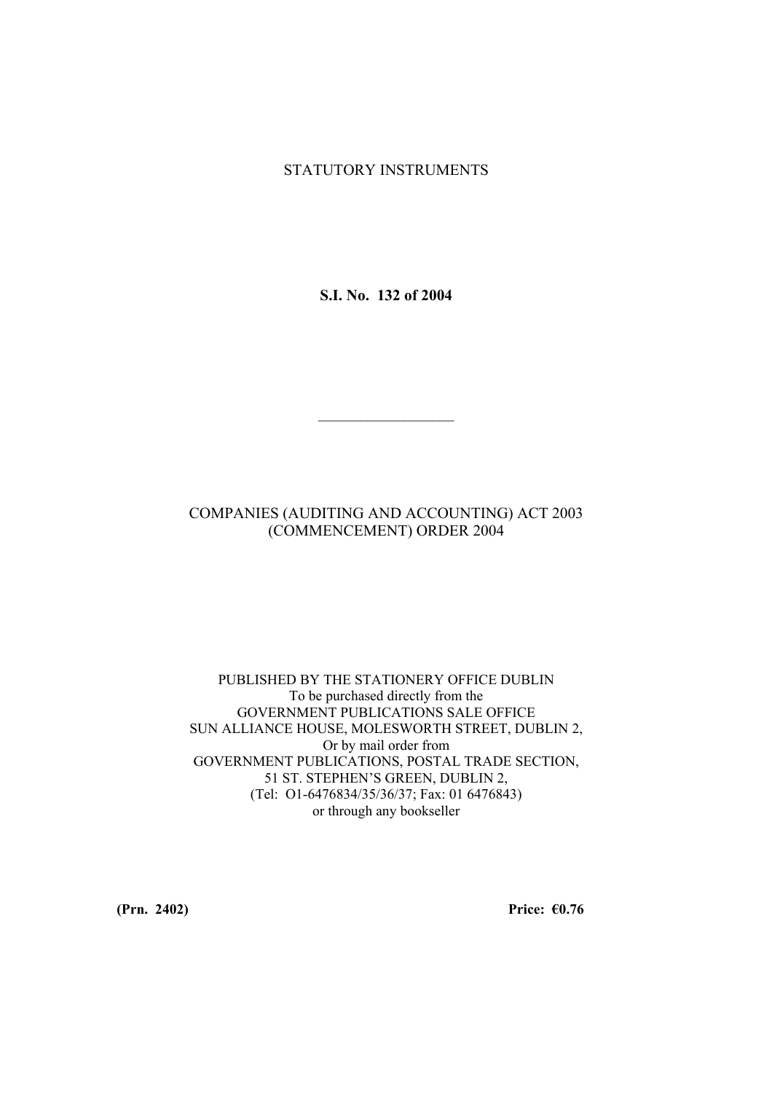## STATUTORY INSTRUMENTS

**S.I. No. 132 of 2004** 

# COMPANIES (AUDITING AND ACCOUNTING) ACT 2003 (COMMENCEMENT) ORDER 2004

 $\mathcal{L}_\text{max}$ 

#### PUBLISHED BY THE STATIONERY OFFICE DUBLIN To be purchased directly from the GOVERNMENT PUBLICATIONS SALE OFFICE SUN ALLIANCE HOUSE, MOLESWORTH STREET, DUBLIN 2, Or by mail order from GOVERNMENT PUBLICATIONS, POSTAL TRADE SECTION, 51 ST. STEPHEN'S GREEN, DUBLIN 2, (Tel: O1-6476834/35/36/37; Fax: 01 6476843) or through any bookseller

**(Prn. 2402) Price: €0.76**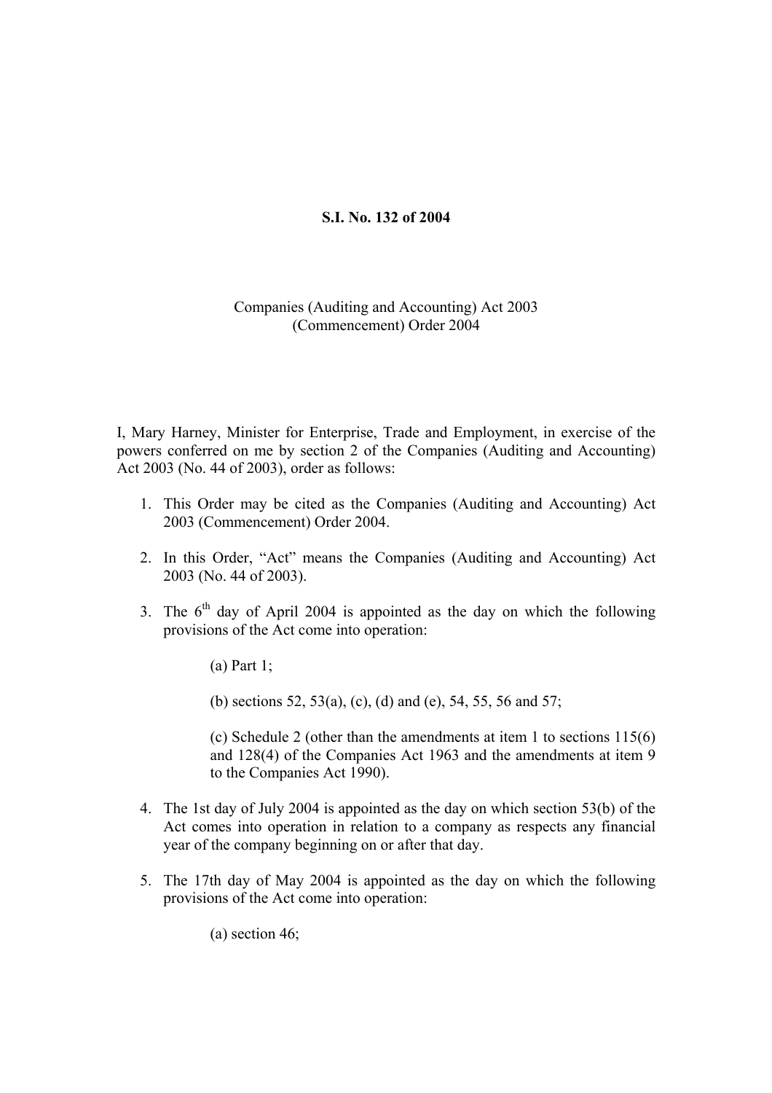# **S.I. No. 132 of 2004**

## Companies (Auditing and Accounting) Act 2003 (Commencement) Order 2004

I, Mary Harney, Minister for Enterprise, Trade and Employment, in exercise of the powers conferred on me by section 2 of the Companies (Auditing and Accounting) Act 2003 (No. 44 of 2003), order as follows:

- 1. This Order may be cited as the Companies (Auditing and Accounting) Act 2003 (Commencement) Order 2004.
- 2. In this Order, "Act" means the Companies (Auditing and Accounting) Act 2003 (No. 44 of 2003).
- 3. The  $6<sup>th</sup>$  day of April 2004 is appointed as the day on which the following provisions of the Act come into operation:
	- (a) Part 1;

(b) sections 52, 53(a), (c), (d) and (e), 54, 55, 56 and 57;

(c) Schedule 2 (other than the amendments at item 1 to sections 115(6) and 128(4) of the Companies Act 1963 and the amendments at item 9 to the Companies Act 1990).

- 4. The 1st day of July 2004 is appointed as the day on which section 53(b) of the Act comes into operation in relation to a company as respects any financial year of the company beginning on or after that day.
- 5. The 17th day of May 2004 is appointed as the day on which the following provisions of the Act come into operation:

(a) section 46;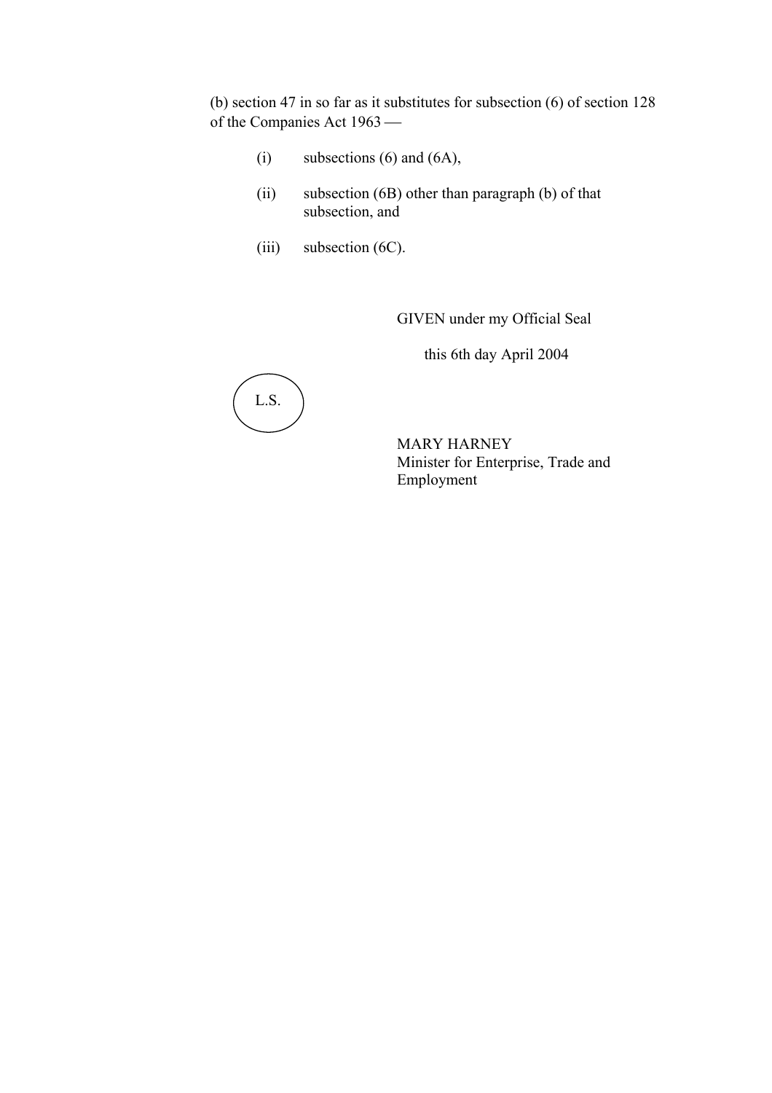(b) section 47 in so far as it substitutes for subsection (6) of section 128 of the Companies Act 1963

- (i) subsections  $(6)$  and  $(6A)$ ,
- (ii) subsection (6B) other than paragraph (b) of that subsection, and
- (iii) subsection (6C).

GIVEN under my Official Seal

this 6th day April 2004



MARY HARNEY Minister for Enterprise, Trade and Employment